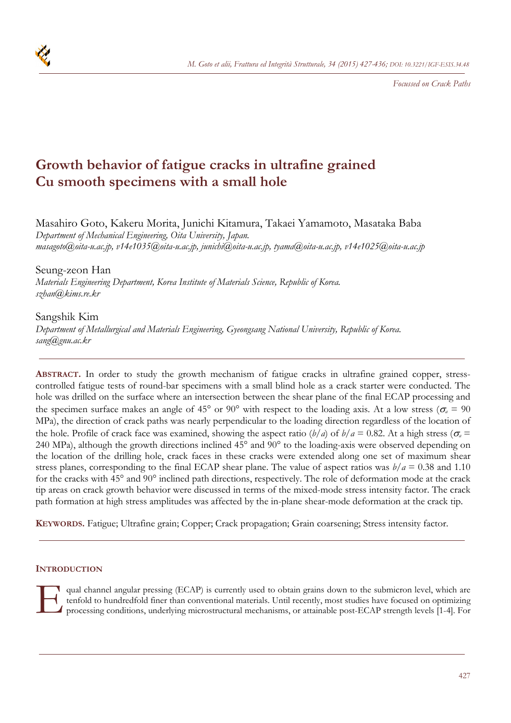

*Focussed on Crack Paths* 

# **Growth behavior of fatigue cracks in ultrafine grained Cu smooth specimens with a small hole**

Masahiro Goto, Kakeru Morita, Junichi Kitamura, Takaei Yamamoto, Masataka Baba *Department of Mechanical Engineering, Oita University, Japan. masagoto@oita-u.ac.jp, v14e1035@oita-u.ac.jp, junichi@oita-u.ac.jp, tyama@oita-u.ac.jp, v14e1025@oita-u.ac.jp* 

Seung-zeon Han *Materials Engineering Department, Korea Institute of Materials Science, Republic of Korea. szhan@kims.re.kr* 

Sangshik Kim *Department of Metallurgical and Materials Engineering, Gyeongsang National University, Republic of Korea. sang@gnu.ac.kr* 

**ABSTRACT.** In order to study the growth mechanism of fatigue cracks in ultrafine grained copper, stresscontrolled fatigue tests of round-bar specimens with a small blind hole as a crack starter were conducted. The hole was drilled on the surface where an intersection between the shear plane of the final ECAP processing and the specimen surface makes an angle of 45° or 90° with respect to the loading axis. At a low stress ( $\sigma_a$  = 90 MPa), the direction of crack paths was nearly perpendicular to the loading direction regardless of the location of the hole. Profile of crack face was examined, showing the aspect ratio  $(b/a)$  of  $b/a = 0.82$ . At a high stress ( $\sigma_a$  = 240 MPa), although the growth directions inclined 45° and 90° to the loading-axis were observed depending on the location of the drilling hole, crack faces in these cracks were extended along one set of maximum shear stress planes, corresponding to the final ECAP shear plane. The value of aspect ratios was  $b/a = 0.38$  and 1.10 for the cracks with 45° and 90° inclined path directions, respectively. The role of deformation mode at the crack tip areas on crack growth behavior were discussed in terms of the mixed-mode stress intensity factor. The crack path formation at high stress amplitudes was affected by the in-plane shear-mode deformation at the crack tip.

**KEYWORDS.** Fatigue; Ultrafine grain; Copper; Crack propagation; Grain coarsening; Stress intensity factor.

# **INTRODUCTION**

qual channel angular pressing (ECAP) is currently used to obtain grains down to the submicron level, which are tenfold to hundredfold finer than conventional materials. Until recently, most studies have focused on optimizing<br>● processing conditions, underlying microstructural mechanisms, or attainable post-ECAP strength levels [1-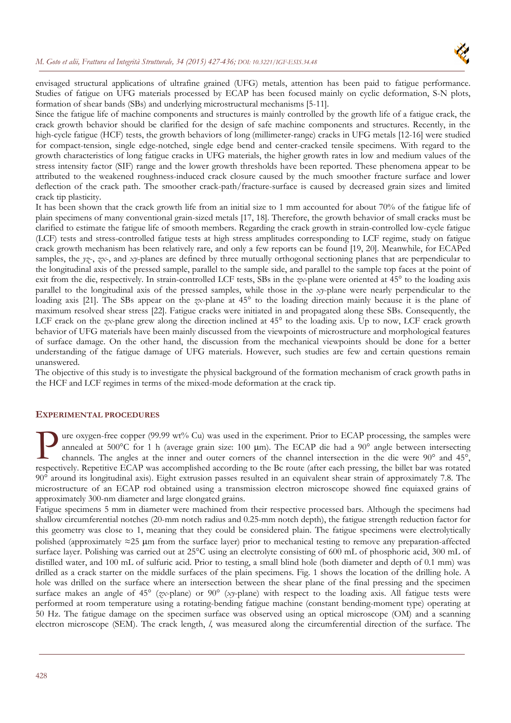

envisaged structural applications of ultrafine grained (UFG) metals, attention has been paid to fatigue performance. Studies of fatigue on UFG materials processed by ECAP has been focused mainly on cyclic deformation, S-N plots, formation of shear bands (SBs) and underlying microstructural mechanisms [5-11].

Since the fatigue life of machine components and structures is mainly controlled by the growth life of a fatigue crack, the crack growth behavior should be clarified for the design of safe machine components and structures. Recently, in the high-cycle fatigue (HCF) tests, the growth behaviors of long (millimeter-range) cracks in UFG metals [12-16] were studied for compact-tension, single edge-notched, single edge bend and center-cracked tensile specimens. With regard to the growth characteristics of long fatigue cracks in UFG materials, the higher growth rates in low and medium values of the stress intensity factor (SIF) range and the lower growth thresholds have been reported. These phenomena appear to be attributed to the weakened roughness-induced crack closure caused by the much smoother fracture surface and lower deflection of the crack path. The smoother crack-path/fracture-surface is caused by decreased grain sizes and limited crack tip plasticity.

It has been shown that the crack growth life from an initial size to 1 mm accounted for about 70% of the fatigue life of plain specimens of many conventional grain-sized metals [17, 18]. Therefore, the growth behavior of small cracks must be clarified to estimate the fatigue life of smooth members. Regarding the crack growth in strain-controlled low-cycle fatigue (LCF) tests and stress-controlled fatigue tests at high stress amplitudes corresponding to LCF regime, study on fatigue crack growth mechanism has been relatively rare, and only a few reports can be found [19, 20]. Meanwhile, for ECAPed samples, the *yz*-, *zx*-, and *xy*-planes are defined by three mutually orthogonal sectioning planes that are perpendicular to the longitudinal axis of the pressed sample, parallel to the sample side, and parallel to the sample top faces at the point of exit from the die, respectively. In strain-controlled LCF tests, SBs in the *zx*-plane were oriented at 45° to the loading axis parallel to the longitudinal axis of the pressed samples, while those in the *xy*-plane were nearly perpendicular to the loading axis [21]. The SBs appear on the *zx*-plane at 45° to the loading direction mainly because it is the plane of maximum resolved shear stress [22]. Fatigue cracks were initiated in and propagated along these SBs. Consequently, the LCF crack on the *zx*-plane grew along the direction inclined at 45° to the loading axis. Up to now, LCF crack growth behavior of UFG materials have been mainly discussed from the viewpoints of microstructure and morphological features of surface damage. On the other hand, the discussion from the mechanical viewpoints should be done for a better understanding of the fatigue damage of UFG materials. However, such studies are few and certain questions remain unanswered.

The objective of this study is to investigate the physical background of the formation mechanism of crack growth paths in the HCF and LCF regimes in terms of the mixed-mode deformation at the crack tip.

#### **EXPERIMENTAL PROCEDURES**

ure oxygen-free copper (99.99 wt% Cu) was used in the experiment. Prior to ECAP processing, the samples were annealed at  $500^{\circ}$ C for 1 h (average grain size: 100 µm). The ECAP die had a  $90^{\circ}$  angle between intersecting channels. The angles at the inner and outer corners of the channel intersection in the die were 90° and 45°, The compless were annealed at 500°C for 1 h (average grain size: 100 µm). The ECAP die had a 90° angle between intersecting channels. The angles at the inner and outer corners of the channel intersection in the die were 90 90° around its longitudinal axis). Eight extrusion passes resulted in an equivalent shear strain of approximately 7.8. The microstructure of an ECAP rod obtained using a transmission electron microscope showed fine equiaxed grains of approximately 300-nm diameter and large elongated grains.

Fatigue specimens 5 mm in diameter were machined from their respective processed bars. Although the specimens had shallow circumferential notches (20-mm notch radius and 0.25-mm notch depth), the fatigue strength reduction factor for this geometry was close to 1, meaning that they could be considered plain. The fatigue specimens were electrolytically polished (approximately  $\approx$ 25 µm from the surface layer) prior to mechanical testing to remove any preparation-affected surface layer. Polishing was carried out at 25<sup>o</sup>C using an electrolyte consisting of 600 mL of phosphoric acid, 300 mL of distilled water, and 100 mL of sulfuric acid. Prior to testing, a small blind hole (both diameter and depth of 0.1 mm) was drilled as a crack starter on the middle surfaces of the plain specimens. Fig. 1 shows the location of the drilling hole. A hole was drilled on the surface where an intersection between the shear plane of the final pressing and the specimen surface makes an angle of 45° (*zx*-plane) or 90° (*xy*-plane) with respect to the loading axis. All fatigue tests were performed at room temperature using a rotating-bending fatigue machine (constant bending-moment type) operating at 50 Hz. The fatigue damage on the specimen surface was observed using an optical microscope (OM) and a scanning electron microscope (SEM). The crack length, *l*, was measured along the circumferential direction of the surface. The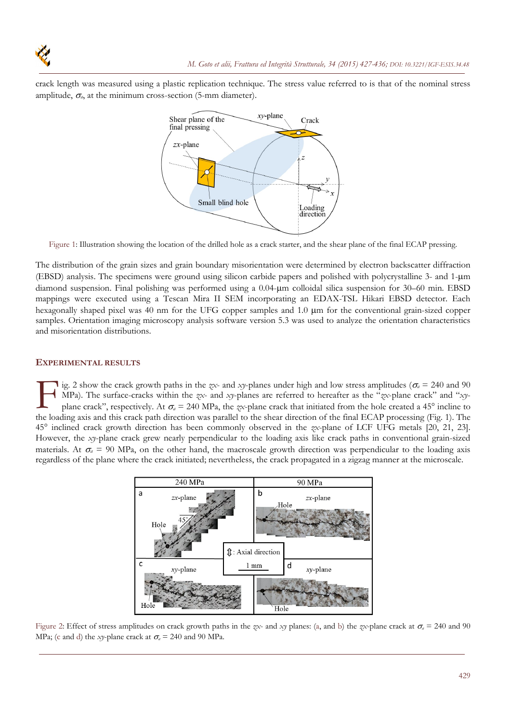crack length was measured using a plastic replication technique. The stress value referred to is that of the nominal stress amplitude,  $\sigma_a$ , at the minimum cross-section (5-mm diameter).



Figure 1: Illustration showing the location of the drilled hole as a crack starter, and the shear plane of the final ECAP pressing.

The distribution of the grain sizes and grain boundary misorientation were determined by electron backscatter diffraction (EBSD) analysis. The specimens were ground using silicon carbide papers and polished with polycrystalline 3- and 1-um diamond suspension. Final polishing was performed using a 0.04-m colloidal silica suspension for 30–60 min. EBSD mappings were executed using a Tescan Mira II SEM incorporating an EDAX-TSL Hikari EBSD detector. Each hexagonally shaped pixel was 40 nm for the UFG copper samples and 1.0  $\mu$ m for the conventional grain-sized copper samples. Orientation imaging microscopy analysis software version 5.3 was used to analyze the orientation characteristics and misorientation distributions.

# **EXPERIMENTAL RESULTS**

**i**g. 2 show the crack growth paths in the *zx*- and *xy*-planes under high and low stress amplitudes ( $\sigma_a = 240$  and 90 MPa). The surface-cracks within the *zx*- and *xy*-planes are referred to hereafter as the "*zx*-plane crack" and "*xy*plane crack", respectively. At  $\sigma_a = 240 \text{ MPa}$ , the *zx*-plane crack that initiated from the hole created a 45° incline to ig. 2 show the crack growth paths in the zx- and xy-planes under high and low stress amplitudes ( $\sigma_a$  = 240 and 90 MPa). The surface-cracks within the zx- and xy-planes are referred to hereafter as the "zx-plane crack" a 45° inclined crack growth direction has been commonly observed in the *zx*-plane of LCF UFG metals [20, 21, 23]. However, the *xy*-plane crack grew nearly perpendicular to the loading axis like crack paths in conventional grain-sized materials. At  $\sigma_a = 90$  MPa, on the other hand, the macroscale growth direction was perpendicular to the loading axis regardless of the plane where the crack initiated; nevertheless, the crack propagated in a zigzag manner at the microscale.



Figure 2: Effect of stress amplitudes on crack growth paths in the *zx*- and *xy* planes: (a, and b) the *zx*-plane crack at  $\sigma_a = 240$  and 90 MPa; (c and d) the *xy*-plane crack at  $\sigma_a = 240$  and 90 MPa.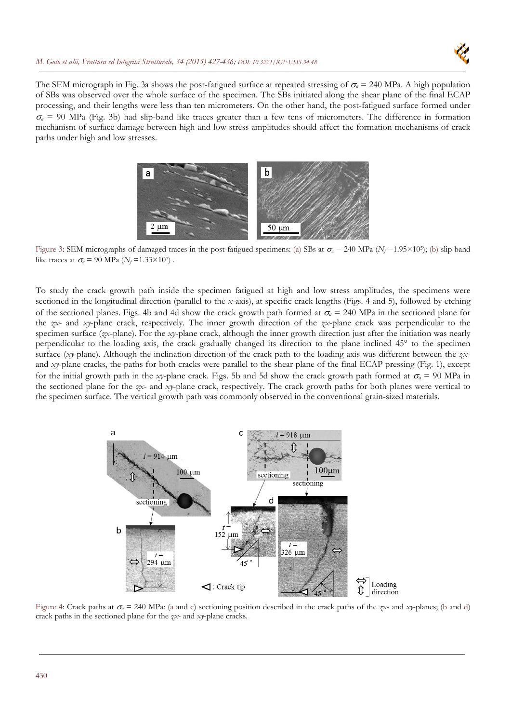The SEM micrograph in Fig. 3a shows the post-fatigued surface at repeated stressing of  $\sigma_a = 240 \text{ MPa}$ . A high population of SBs was observed over the whole surface of the specimen. The SBs initiated along the shear plane of the final ECAP processing, and their lengths were less than ten micrometers. On the other hand, the post-fatigued surface formed under  $\sigma_a$  = 90 MPa (Fig. 3b) had slip-band like traces greater than a few tens of micrometers. The difference in formation mechanism of surface damage between high and low stress amplitudes should affect the formation mechanisms of crack paths under high and low stresses.



Figure 3: SEM micrographs of damaged traces in the post-fatigued specimens: (a) SBs at  $\sigma_a = 240 \text{ MPa}$  ( $N_f = 1.95 \times 10^5$ ); (b) slip band like traces at  $\sigma_a$  = 90 MPa ( $N_f$ =1.33×10<sup>7</sup>).

To study the crack growth path inside the specimen fatigued at high and low stress amplitudes, the specimens were sectioned in the longitudinal direction (parallel to the *x*-axis), at specific crack lengths (Figs. 4 and 5), followed by etching of the sectioned planes. Figs. 4b and 4d show the crack growth path formed at  $\sigma_a = 240 \text{ MPa}$  in the sectioned plane for the *zx*- and *xy*-plane crack, respectively. The inner growth direction of the *zx*-plane crack was perpendicular to the specimen surface (*zx*-plane). For the *xy*-plane crack, although the inner growth direction just after the initiation was nearly perpendicular to the loading axis, the crack gradually changed its direction to the plane inclined 45° to the specimen surface (*xy*-plane). Although the inclination direction of the crack path to the loading axis was different between the *zx*and *xy*-plane cracks, the paths for both cracks were parallel to the shear plane of the final ECAP pressing (Fig. 1), except for the initial growth path in the *xy*-plane crack. Figs. 5b and 5d show the crack growth path formed at  $\sigma_a = 90$  MPa in the sectioned plane for the *zx*- and *xy*-plane crack, respectively. The crack growth paths for both planes were vertical to the specimen surface. The vertical growth path was commonly observed in the conventional grain-sized materials.



Figure 4: Crack paths at  $\sigma_a = 240$  MPa: (a and c) sectioning position described in the crack paths of the *zx*- and *xy*-planes; (b and d) crack paths in the sectioned plane for the *zx*- and *xy*-plane cracks.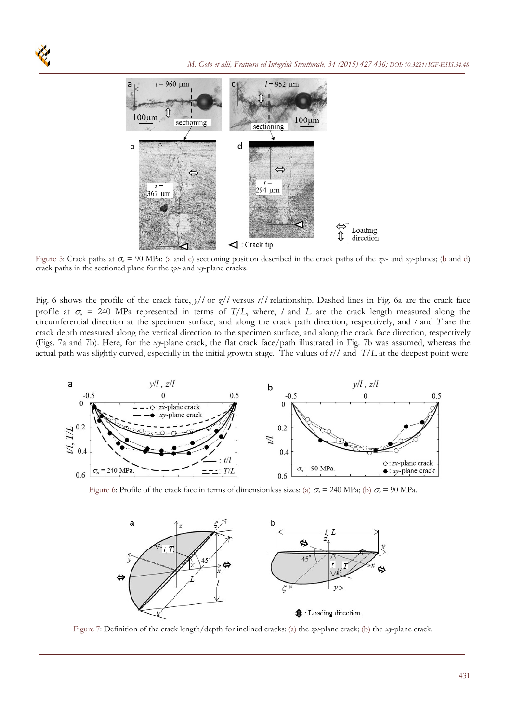

Figure 5: Crack paths at  $\sigma_a = 90$  MPa: (a and c) sectioning position described in the crack paths of the *zx*- and *xy*-planes; (b and d) crack paths in the sectioned plane for the *zx*- and *xy*-plane cracks.

Fig. 6 shows the profile of the crack face, *y*/*l* or *z*/*l* versus *t*/*l* relationship. Dashed lines in Fig. 6a are the crack face profile at  $\sigma_a$  = 240 MPa represented in terms of *T*/*L*, where, *l* and *L* are the crack length measured along the circumferential direction at the specimen surface, and along the crack path direction, respectively, and *t* and *T* are the crack depth measured along the vertical direction to the specimen surface, and along the crack face direction, respectively (Figs. 7a and 7b). Here, for the *xy*-plane crack, the flat crack face/path illustrated in Fig. 7b was assumed, whereas the actual path was slightly curved, especially in the initial growth stage. The values of *t*/*l* and *T*/*L* at the deepest point were



Figure 6: Profile of the crack face in terms of dimensionless sizes: (a)  $\sigma_a = 240$  MPa; (b)  $\sigma_a = 90$  MPa.



Figure 7: Definition of the crack length/depth for inclined cracks: (a) the *zx*-plane crack; (b) the *xy*-plane crack.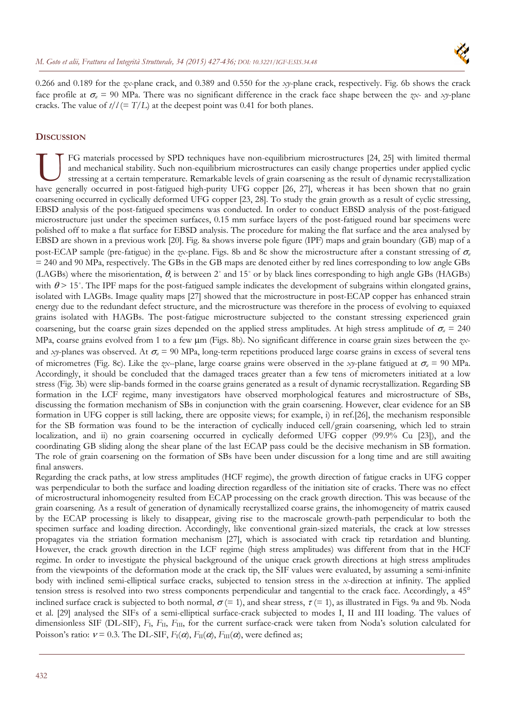

0.266 and 0.189 for the *zx*-plane crack, and 0.389 and 0.550 for the *xy*-plane crack, respectively. Fig. 6b shows the crack face profile at  $\sigma_a = 90$  MPa. There was no significant difference in the crack face shape between the *zx*- and *xy*-plane cracks. The value of  $t/l (= T/L)$  at the deepest point was 0.41 for both planes.

# **DISCUSSION**

FG materials processed by SPD techniques have non-equilibrium microstructures [24, 25] with limited thermal and mechanical stability. Such non-equilibrium microstructures can easily change properties under applied cyclic stressing at a certain temperature. Remarkable levels of grain coarsening as the result of dynamic recrystallization FG materials processed by SPD techniques have non-equilibrium microstructures [24, 25] with limited thermal<br>and mechanical stability. Such non-equilibrium microstructures can easily change properties under applied cyclic<br>s coarsening occurred in cyclically deformed UFG copper [23, 28]. To study the grain growth as a result of cyclic stressing, EBSD analysis of the post-fatigued specimens was conducted. In order to conduct EBSD analysis of the post-fatigued microstructure just under the specimen surfaces, 0.15 mm surface layers of the post-fatigued round bar specimens were polished off to make a flat surface for EBSD analysis. The procedure for making the flat surface and the area analysed by EBSD are shown in a previous work [20]. Fig. 8a shows inverse pole figure (IPF) maps and grain boundary (GB) map of a post-ECAP sample (pre-fatigue) in the *zx*-plane. Figs. 8b and 8c show the microstructure after a constant stressing of  $\sigma_a$ = 240 and 90 MPa, respectively. The GBs in the GB maps are denoted either by red lines corresponding to low angle GBs (LAGBs) where the misorientation,  $\theta$ , is between 2° and 15° or by black lines corresponding to high angle GBs (HAGBs) with  $\theta$  > 15°. The IPF maps for the post-fatigued sample indicates the development of subgrains within elongated grains, isolated with LAGBs. Image quality maps [27] showed that the microstructure in post-ECAP copper has enhanced strain energy due to the redundant defect structure, and the microstructure was therefore in the process of evolving to equiaxed grains isolated with HAGBs. The post-fatigue microstructure subjected to the constant stressing experienced grain coarsening, but the coarse grain sizes depended on the applied stress amplitudes. At high stress amplitude of  $\sigma_a = 240$ MPa, coarse grains evolved from 1 to a few  $\mu$ m (Figs. 8b). No significant difference in coarse grain sizes between the zxand *xy*-planes was observed. At  $\sigma_a$  = 90 MPa, long-term repetitions produced large coarse grains in excess of several tens of micrometres (Fig. 8c). Like the *zx*--plane, large coarse grains were observed in the *xy*-plane fatigued at  $\sigma_a = 90$  MPa. Accordingly, it should be concluded that the damaged traces greater than a few tens of micrometers initiated at a low stress (Fig. 3b) were slip-bands formed in the coarse grains generated as a result of dynamic recrystallization. Regarding SB formation in the LCF regime, many investigators have observed morphological features and microstructure of SBs, discussing the formation mechanism of SBs in conjunction with the grain coarsening. However, clear evidence for an SB formation in UFG copper is still lacking, there are opposite views; for example, i) in ref.[26], the mechanism responsible for the SB formation was found to be the interaction of cyclically induced cell/grain coarsening, which led to strain localization, and ii) no grain coarsening occurred in cyclically deformed UFG copper (99.9% Cu [23]), and the coordinating GB sliding along the shear plane of the last ECAP pass could be the decisive mechanism in SB formation. The role of grain coarsening on the formation of SBs have been under discussion for a long time and are still awaiting final answers.

Regarding the crack paths, at low stress amplitudes (HCF regime), the growth direction of fatigue cracks in UFG copper was perpendicular to both the surface and loading direction regardless of the initiation site of cracks. There was no effect of microstructural inhomogeneity resulted from ECAP processing on the crack growth direction. This was because of the grain coarsening. As a result of generation of dynamically recrystallized coarse grains, the inhomogeneity of matrix caused by the ECAP processing is likely to disappear, giving rise to the macroscale growth-path perpendicular to both the specimen surface and loading direction. Accordingly, like conventional grain-sized materials, the crack at low stresses propagates via the striation formation mechanism [27], which is associated with crack tip retardation and blunting. However, the crack growth direction in the LCF regime (high stress amplitudes) was different from that in the HCF regime. In order to investigate the physical background of the unique crack growth directions at high stress amplitudes from the viewpoints of the deformation mode at the crack tip, the SIF values were evaluated, by assuming a semi-infinite body with inclined semi-elliptical surface cracks, subjected to tension stress in the *x*-direction at infinity. The applied tension stress is resolved into two stress components perpendicular and tangential to the crack face. Accordingly, a 45° inclined surface crack is subjected to both normal,  $\sigma$  (= 1), and shear stress,  $\tau$  (= 1), as illustrated in Figs. 9a and 9b. Noda et al. [29] analysed the SIFs of a semi-elliptical surface-crack subjected to modes I, II and III loading. The values of dimensionless SIF (DL-SIF), *F*<sub>I</sub>, *F*<sub>II</sub>, *F*<sub>III</sub>, for the current surface-crack were taken from Noda's solution calculated for Poisson's ratio:  $v = 0.3$ . The DL-SIF,  $F_{\rm I}(\alpha)$ ,  $F_{\rm II}(\alpha)$ ,  $F_{\rm III}(\alpha)$ , were defined as;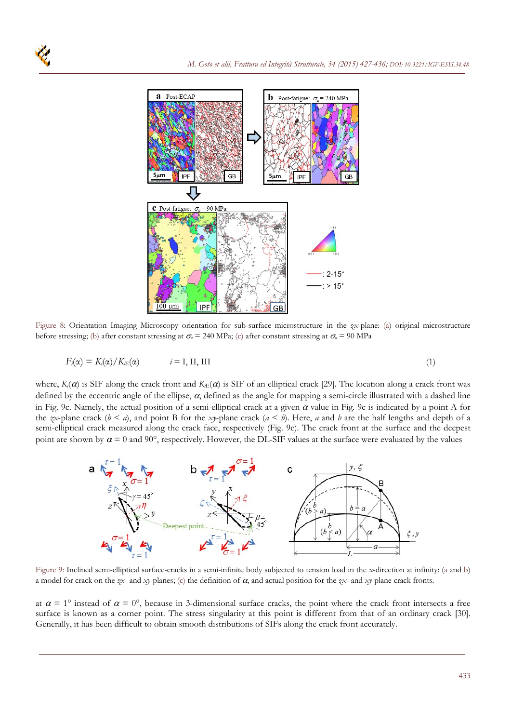

Figure 8: Orientation Imaging Microscopy orientation for sub-surface microstructure in the *zx*-plane: (a) original microstructure before stressing; (b) after constant stressing at  $\sigma_a = 240 \text{ MPa}$ ; (c) after constant stressing at  $\sigma_a = 90 \text{ MPa}$ 

$$
F_i(\alpha) = K_i(\alpha) / K_{iE}(\alpha) \qquad i = I, II, III
$$
\n<sup>(1)</sup>

where,  $K_i(\alpha)$  is SIF along the crack front and  $K_E(\alpha)$  is SIF of an elliptical crack [29]. The location along a crack front was defined by the eccentric angle of the ellipse,  $\alpha$ , defined as the angle for mapping a semi-circle illustrated with a dashed line in Fig. 9c. Namely, the actual position of a semi-elliptical crack at a given  $\alpha$  value in Fig. 9c is indicated by a point A for the *zx*-plane crack ( $b < a$ ), and point B for the *xy*-plane crack ( $a < b$ ). Here, *a* and *b* are the half lengths and depth of a semi-elliptical crack measured along the crack face, respectively (Fig. 9c). The crack front at the surface and the deepest point are shown by  $\alpha = 0$  and 90°, respectively. However, the DL-SIF values at the surface were evaluated by the values



Figure 9: Inclined semi-elliptical surface-cracks in a semi-infinite body subjected to tension load in the *x*-direction at infinity: (a and b) a model for crack on the *zx*- and *xy*-planes; (c) the definition of  $\alpha$ , and actual position for the *zx*- and *xy*-plane crack fronts.

at  $\alpha = 1^{\circ}$  instead of  $\alpha = 0^{\circ}$ , because in 3-dimensional surface cracks, the point where the crack front intersects a free surface is known as a corner point. The stress singularity at this point is different from that of an ordinary crack [30]. Generally, it has been difficult to obtain smooth distributions of SIFs along the crack front accurately.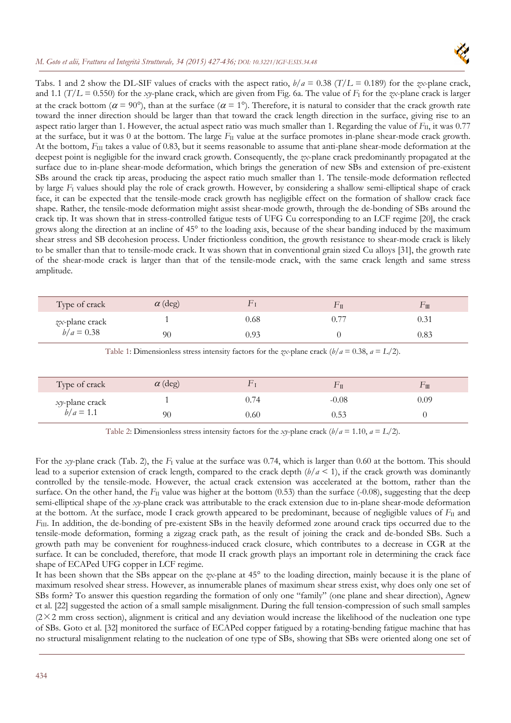

Tabs. 1 and 2 show the DL-SIF values of cracks with the aspect ratio, *b*/*a* = 0.38 (*T*/*L* = 0.189) for the *zx*-plane crack, and 1.1 ( $T/L = 0.550$ ) for the *xy*-plane crack, which are given from Fig. 6a. The value of  $F_1$  for the *zx*-plane crack is larger at the crack bottom ( $\alpha = 90^{\circ}$ ), than at the surface ( $\alpha = 1^{\circ}$ ). Therefore, it is natural to consider that the crack growth rate toward the inner direction should be larger than that toward the crack length direction in the surface, giving rise to an aspect ratio larger than 1. However, the actual aspect ratio was much smaller than 1. Regarding the value of *F*<sub>II</sub>, it was 0.77 at the surface, but it was 0 at the bottom. The large *F*<sub>II</sub> value at the surface promotes in-plane shear-mode crack growth. At the bottom,  $F_{\text{III}}$  takes a value of 0.83, but it seems reasonable to assume that anti-plane shear-mode deformation at the deepest point is negligible for the inward crack growth. Consequently, the *zx*-plane crack predominantly propagated at the surface due to in-plane shear-mode deformation, which brings the generation of new SBs and extension of pre-existent SBs around the crack tip areas, producing the aspect ratio much smaller than 1. The tensile-mode deformation reflected by large *F*I values should play the role of crack growth. However, by considering a shallow semi-elliptical shape of crack face, it can be expected that the tensile-mode crack growth has negligible effect on the formation of shallow crack face shape. Rather, the tensile-mode deformation might assist shear-mode growth, through the de-bonding of SBs around the crack tip. It was shown that in stress-controlled fatigue tests of UFG Cu corresponding to an LCF regime [20], the crack grows along the direction at an incline of 45° to the loading axis, because of the shear banding induced by the maximum shear stress and SB decohesion process. Under frictionless condition, the growth resistance to shear-mode crack is likely to be smaller than that to tensile-mode crack. It was shown that in conventional grain sized Cu alloys [31], the growth rate of the shear-mode crack is larger than that of the tensile-mode crack, with the same crack length and same stress amplitude.

| Type of crack                  | $\alpha$ (deg) |      | ΓΠ | $\mathbb{L}\,\mathbb{I}\,\mathbb{I}$ |
|--------------------------------|----------------|------|----|--------------------------------------|
| zx-plane crack<br>$b/a = 0.38$ |                | ).68 | ). | ).31                                 |
|                                | 90             | ).93 |    | 0.83                                 |

Table 1: Dimensionless stress intensity factors for the *zx*-plane crack ( $b/a = 0.38$ ,  $a = L/2$ ).

| Type of crack                         | $\alpha$ (deg) |       |         | $\Gamma \, \mathrm{I} \mathrm{I} \mathrm{I}$ |
|---------------------------------------|----------------|-------|---------|----------------------------------------------|
| <i>xy</i> -plane crack<br>$b/a = 1.1$ |                | J. 74 | $-0.08$ | 0.09                                         |
|                                       | 90             | 0.60  | 0.53    |                                              |

Table 2: Dimensionless stress intensity factors for the *xy*-plane crack  $(b/a = 1.10, a = L/2)$ .

For the *xy*-plane crack (Tab. 2), the *F*<sub>I</sub> value at the surface was 0.74, which is larger than 0.60 at the bottom. This should lead to a superior extension of crack length, compared to the crack depth  $(b/a < 1)$ , if the crack growth was dominantly controlled by the tensile-mode. However, the actual crack extension was accelerated at the bottom, rather than the surface. On the other hand, the *F*<sub>II</sub> value was higher at the bottom (0.53) than the surface (-0.08), suggesting that the deep semi-elliptical shape of the *xy*-plane crack was attributable to the crack extension due to in-plane shear-mode deformation at the bottom. At the surface, mode I crack growth appeared to be predominant, because of negligible values of  $F<sub>II</sub>$  and *F*<sub>III</sub>. In addition, the de-bonding of pre-existent SBs in the heavily deformed zone around crack tips occurred due to the tensile-mode deformation, forming a zigzag crack path, as the result of joining the crack and de-bonded SBs. Such a growth path may be convenient for roughness-induced crack closure, which contributes to a decrease in CGR at the surface. It can be concluded, therefore, that mode II crack growth plays an important role in determining the crack face shape of ECAPed UFG copper in LCF regime.

It has been shown that the SBs appear on the *zx*-plane at 45° to the loading direction, mainly because it is the plane of maximum resolved shear stress. However, as innumerable planes of maximum shear stress exist, why does only one set of SBs form? To answer this question regarding the formation of only one "family" (one plane and shear direction), Agnew et al. [22] suggested the action of a small sample misalignment. During the full tension-compression of such small samples  $(2\times2$  mm cross section), alignment is critical and any deviation would increase the likelihood of the nucleation one type of SBs. Goto et al. [32] monitored the surface of ECAPed copper fatigued by a rotating-bending fatigue machine that has no structural misalignment relating to the nucleation of one type of SBs, showing that SBs were oriented along one set of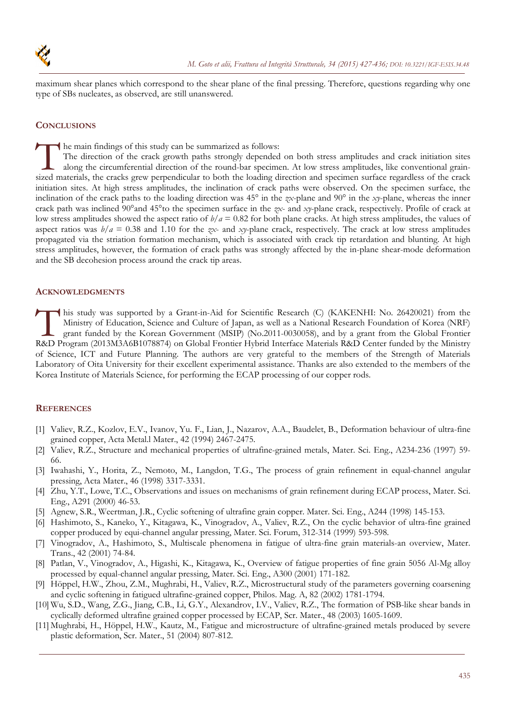

maximum shear planes which correspond to the shear plane of the final pressing. Therefore, questions regarding why one type of SBs nucleates, as observed, are still unanswered.

## **CONCLUSIONS**

he main findings of this study can be summarized as follows:

The direction of the crack growth paths strongly depended on both stress amplitudes and crack initiation sites along the circumferential direction of the round-bar specimen. At low stress amplitudes, like conventional grain-The main findings of this study can be summarized as follows:<br>The direction of the crack growth paths strongly depended on both stress amplitudes and crack initiation sites<br>along the circumferential direction of the roundinitiation sites. At high stress amplitudes, the inclination of crack paths were observed. On the specimen surface, the inclination of the crack paths to the loading direction was 45° in the *zx*-plane and 90° in the *xy*-plane, whereas the inner crack path was inclined 90°and 45°to the specimen surface in the *zx*- and *xy*-plane crack, respectively. Profile of crack at low stress amplitudes showed the aspect ratio of  $b/a = 0.82$  for both plane cracks. At high stress amplitudes, the values of aspect ratios was  $b/a = 0.38$  and 1.10 for the *zx*- and *xy*-plane crack, respectively. The crack at low stress amplitudes propagated via the striation formation mechanism, which is associated with crack tip retardation and blunting. At high stress amplitudes, however, the formation of crack paths was strongly affected by the in-plane shear-mode deformation and the SB decohesion process around the crack tip areas.

### **ACKNOWLEDGMENTS**

his study was supported by a Grant-in-Aid for Scientific Research (C) (KAKENHI: No. 26420021) from the Ministry of Education, Science and Culture of Japan, as well as a National Research Foundation of Korea (NRF) grant funded by the Korean Government (MSIP) (No.2011-0030058), and by a grant from the Global Frontier his study was supported by a Grant-in-Aid for Scientific Research (C) (KAKENHI: No. 26420021) from the Ministry of Education, Science and Culture of Japan, as well as a National Research Foundation of Korea (NRF) grant fun of Science, ICT and Future Planning. The authors are very grateful to the members of the Strength of Materials Laboratory of Oita University for their excellent experimental assistance. Thanks are also extended to the members of the Korea Institute of Materials Science, for performing the ECAP processing of our copper rods.

### **REFERENCES**

- [1] Valiev, R.Z., Kozlov, E.V., Ivanov, Yu. F., Lian, J., Nazarov, A.A., Baudelet, B., Deformation behaviour of ultra-fine grained copper, Acta Metal.l Mater., 42 (1994) 2467-2475.
- [2] Valiev, R.Z., Structure and mechanical properties of ultrafine-grained metals, Mater. Sci. Eng., A234-236 (1997) 59- 66.
- [3] Iwahashi, Y., Horita, Z., Nemoto, M., Langdon, T.G., The process of grain refinement in equal-channel angular pressing, Acta Mater., 46 (1998) 3317-3331.
- [4] Zhu, Y.T., Lowe, T.C., Observations and issues on mechanisms of grain refinement during ECAP process, Mater. Sci. Eng., A291 (2000) 46-53.
- [5] Agnew, S.R., Weertman, J.R., Cyclic softening of ultrafine grain copper. Mater. Sci. Eng., A244 (1998) 145-153.
- [6] Hashimoto, S., Kaneko, Y., Kitagawa, K., Vinogradov, A., Valiev, R.Z., On the cyclic behavior of ultra-fine grained copper produced by equi-channel angular pressing, Mater. Sci. Forum, 312-314 (1999) 593-598.
- [7] Vinogradov, A., Hashimoto, S., Multiscale phenomena in fatigue of ultra-fine grain materials-an overview, Mater. Trans., 42 (2001) 74-84.
- [8] Patlan, V., Vinogradov, A., Higashi, K., Kitagawa, K., Overview of fatigue properties of fine grain 5056 Al-Mg alloy processed by equal-channel angular pressing, Mater. Sci. Eng., A300 (2001) 171-182.
- [9] Höppel, H.W., Zhou, Z.M., Mughrabi, H., Valiev, R.Z., Microstructural study of the parameters governing coarsening and cyclic softening in fatigued ultrafine-grained copper, Philos. Mag. A, 82 (2002) 1781-1794.
- [10] Wu, S.D., Wang, Z.G., Jiang, C.B., Li, G.Y., Alexandrov, I.V., Valiev, R.Z., The formation of PSB-like shear bands in cyclically deformed ultrafine grained copper processed by ECAP, Scr. Mater., 48 (2003) 1605-1609.
- [11] Mughrabi, H., Höppel, H.W., Kautz, M., Fatigue and microstructure of ultrafine-grained metals produced by severe plastic deformation, Scr. Mater., 51 (2004) 807-812.